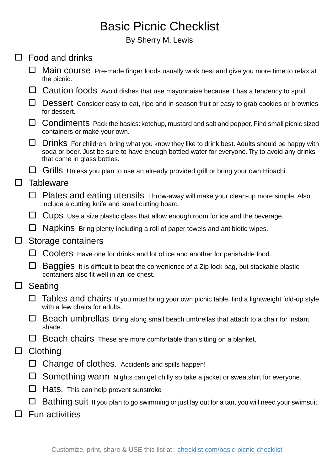## Basic Picnic Checklist

By Sherry M. Lewis

- $\Box$  Main course Pre-made finger foods usually work best and give you more time to relax at the picnic.
- $\Box$  Caution foods Avoid dishes that use mayonnaise because it has a tendency to spoil.
- D Dessert Consider easy to eat, ripe and in-season fruit or easy to grab cookies or brownies for dessert.
- $\Box$  Condiments Pack the basics: ketchup, mustard and salt and pepper. Find small picnic sized containers or make your own.
- □ Drinks For children, bring what you know they like to drink best. Adults should be happy with soda or beer. Just be sure to have enough bottled water for everyone. Try to avoid any drinks that come in glass bottles.
- $\Box$  Grills Unless you plan to use an already provided grill or bring your own Hibachi.
- **Tableware**  $\Box$ 
	- $\Box$  Plates and eating utensils Throw-away will make your clean-up more simple. Also include a cutting knife and small cutting board.
	- $\Box$  Cups Use a size plastic glass that allow enough room for ice and the beverage.
	- $\Box$  Napkins Bring plenty including a roll of paper towels and antibiotic wipes.

## $\Box$ Storage containers

- $\Box$  Coolers Have one for drinks and lot of ice and another for perishable food.
- $\Box$  Baggies It is difficult to beat the convenience of a Zip lock bag, but stackable plastic containers also fit well in an ice chest.
- $\square$  Seating
	- $\Box$  Tables and chairs If you must bring your own picnic table, find a lightweight fold-up style with a few chairs for adults.
	- $\Box$  Beach umbrellas Bring along small beach umbrellas that attach to a chair for instant shade.
	- $\Box$  Beach chairs These are more comfortable than sitting on a blanket.
- □ Clothing
	- Change of clothes. Accidents and spills happen!
	- $\Box$  Something warm Nights can get chilly so take a jacket or sweatshirt for everyone.
	- $\Box$  Hats. This can help prevent sunstroke
	- $\Box$  Bathing suit If you plan to go swimming or just lay out for a tan, you will need your swimsuit.
- Fun activities П